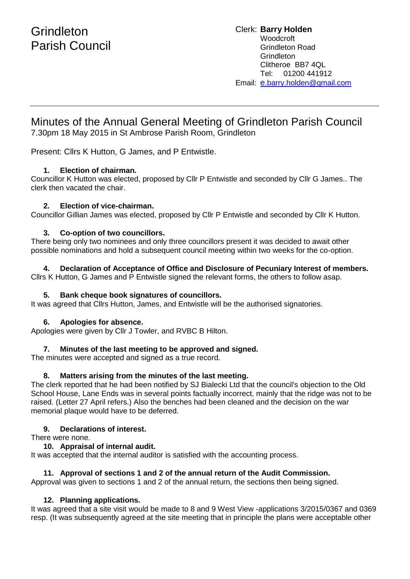Clerk: **Barry Holden** Woodcroft Grindleton Road **Grindleton** Clitheroe BB7 4QL Tel: 01200 441912 Email: [e](mailto:edwardbholden@yahoo.co.uk).barry.holden@gmail.com

# Minutes of the Annual General Meeting of Grindleton Parish Council

7.30pm 18 May 2015 in St Ambrose Parish Room, Grindleton

Present: Cllrs K Hutton, G James, and P Entwistle.

# **1. Election of chairman.**

Councillor K Hutton was elected, proposed by Cllr P Entwistle and seconded by Cllr G James.. The clerk then vacated the chair.

#### **2. Election of vice-chairman.**

Councillor Gillian James was elected, proposed by Cllr P Entwistle and seconded by Cllr K Hutton.

# **3. Co-option of two councillors.**

There being only two nominees and only three councillors present it was decided to await other possible nominations and hold a subsequent council meeting within two weeks for the co-option.

#### **4. Declaration of Acceptance of Office and Disclosure of Pecuniary Interest of members.**

Cllrs K Hutton, G James and P Entwistle signed the relevant forms, the others to follow asap.

#### **5. Bank cheque book signatures of councillors.**

It was agreed that Cllrs Hutton, James, and Entwistle will be the authorised signatories.

#### **6. Apologies for absence.**

Apologies were given by Cllr J Towler, and RVBC B Hilton.

#### **7. Minutes of the last meeting to be approved and signed.**

The minutes were accepted and signed as a true record.

#### **8. Matters arising from the minutes of the last meeting.**

The clerk reported that he had been notified by SJ Bialecki Ltd that the council's objection to the Old School House, Lane Ends was in several points factually incorrect, mainly that the ridge was not to be raised. (Letter 27 April refers.) Also the benches had been cleaned and the decision on the war memorial plaque would have to be deferred.

#### **9. Declarations of interest.**

There were none.

#### **10. Appraisal of internal audit.**

It was accepted that the internal auditor is satisfied with the accounting process.

#### **11. Approval of sections 1 and 2 of the annual return of the Audit Commission.**

Approval was given to sections 1 and 2 of the annual return, the sections then being signed.

# **12. Planning applications.**

It was agreed that a site visit would be made to 8 and 9 West View -applications 3/2015/0367 and 0369 resp. (It was subsequently agreed at the site meeting that in principle the plans were acceptable other